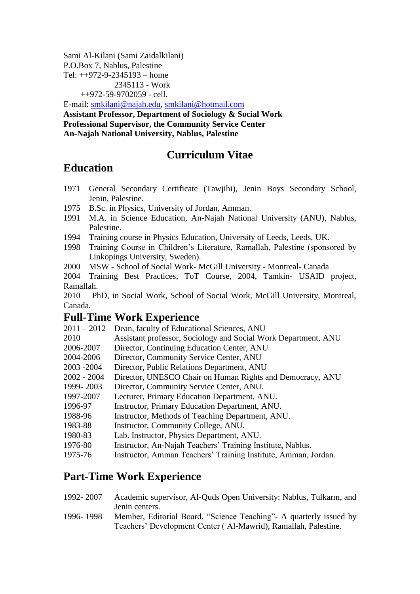Sami Al-Kilani (Sami Zaidalkilani) P.O.Box 7, Nablus, Palestine Tel: ++972-9-2345193 – home 2345113 - Work ++972-59-9702059 - cell.

E-mail: [smkilani@najah.edu,](mailto:smkilani@najah.edu) [smkilani@hotmail.com](mailto:smkilani@hotmail.com) **Assistant Professor, Department of Sociology & Social Work Professional Supervisor, the Community Service Center An-Najah National University, Nablus, Palestine**

## **Curriculum Vitae**

# **Education**

- 1971 General Secondary Certificate (Tawjihi), Jenin Boys Secondary School, Jenin, Palestine.
- 1975 B.Sc. in Physics, University of Jordan, Amman.
- 1991 M.A. in Science Education, An-Najah National University (ANU), Nablus, Palestine.
- 1994 Training course in Physics Education, University of Leeds, Leeds, UK.
- 1998 Training Course in Children's Literature, Ramallah, Palestine (sponsored by Linkopings University, Sweden).
- 2000 MSW School of Social Work- McGill University Montreal- Canada

2004 Training Best Practices, ToT Course, 2004, Tamkin- USAID project, Ramallah.

2010 PhD, in Social Work, School of Social Work, McGill University, Montreal, Canada.

### **Full-Time Work Experience**

- 2011 2012 Dean, faculty of Educational Sciences, ANU
- 2010 Assistant professor, Sociology and Social Work Department, ANU
- 2006-2007 Director, Continuing Education Center, ANU
- 2004-2006 Director, Community Service Center, ANU
- 2003 -2004 Director, Public Relations Department, ANU
- 2002 2004 Director, UNESCO Chair on Human Rights and Democracy, ANU
- 1999- 2003 Director, Community Service Center, ANU.
- 1997-2007 Lecturer, Primary Education Department, ANU.
- 1996-97 Instructor, Primary Education Department, ANU.
- 1988-96 Instructor, Methods of Teaching Department, ANU.
- 1983-88 Instructor, Community College, ANU.
- 1980-83 Lab. Instructor, Physics Department, ANU.
- 1976-80 Instructor, An-Najah Teachers' Training Institute, Nablus.
- 1975-76 Instructor, Amman Teachers' Training Institute, Amman, Jordan.

### **Part-Time Work Experience**

- 1992- 2007 Academic supervisor, Al-Quds Open University: Nablus, Tulkarm, and Jenin centers.
- 1996- 1998 Member, Editorial Board, "Science Teaching"- A quarterly issued by Teachers' Development Center ( Al-Mawrid), Ramallah, Palestine.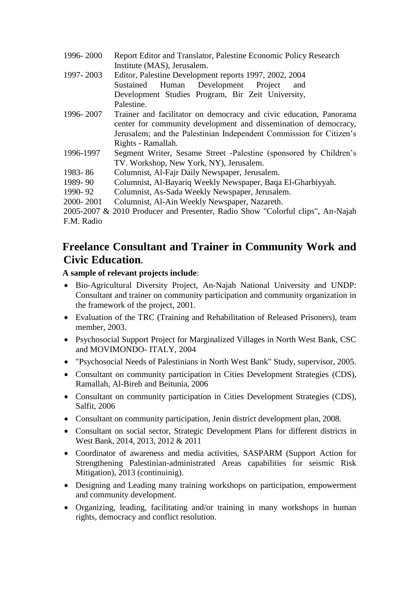| 1996-2000  | Report Editor and Translator, Palestine Economic Policy Research               |
|------------|--------------------------------------------------------------------------------|
|            | Institute (MAS), Jerusalem.                                                    |
| 1997-2003  | Editor, Palestine Development reports 1997, 2002, 2004                         |
|            | Development Project<br>Sustained<br>Human<br>and                               |
|            | Development Studies Program, Bir Zeit University,                              |
|            | Palestine.                                                                     |
| 1996-2007  | Trainer and facilitator on democracy and civic education, Panorama             |
|            | center for community development and dissemination of democracy,               |
|            | Jerusalem; and the Palestinian Independent Commission for Citizen's            |
|            | Rights - Ramallah.                                                             |
| 1996-1997  | Segment Writer, Sesame Street -Palestine (sponsored by Children's              |
|            | TV. Workshop, New York, NY), Jerusalem.                                        |
| 1983-86    | Columnist, Al-Fajr Daily Newspaper, Jerusalem.                                 |
| 1989-90    | Columnist, Al-Bayariq Weekly Newspaper, Baqa El-Gharbiyyah.                    |
| 1990-92    | Columnist, As-Sada Weekly Newspaper, Jerusalem.                                |
| 2000-2001  | Columnist, Al-Ain Weekly Newspaper, Nazareth.                                  |
|            | 2005-2007 & 2010 Producer and Presenter, Radio Show "Colorful clips", An-Najah |
| F.M. Radio |                                                                                |

## **Freelance Consultant and Trainer in Community Work and Civic Education.**

#### **A sample of relevant projects include**:

- Bio-Agricultural Diversity Project, An-Najah National University and UNDP: Consultant and trainer on community participation and community organization in the framework of the project, 2001.
- Evaluation of the TRC (Training and Rehabilitation of Released Prisoners), team member, 2003.
- Psychosocial Support Project for Marginalized Villages in North West Bank, CSC and MOVIMONDO- ITALY, 2004
- "Psychosocial Needs of Palestinians in North West Bank" Study, supervisor, 2005.
- Consultant on community participation in Cities Development Strategies (CDS), Ramallah, Al-Bireh and Beitunia, 2006
- Consultant on community participation in Cities Development Strategies (CDS), Salfit, 2006
- Consultant on community participation, Jenin district development plan, 2008.
- Consultant on social sector, Strategic Development Plans for different districts in West Bank, 2014, 2013, 2012 & 2011
- Coordinator of awareness and media activities, SASPARM (Support Action for Strengthening Palestinian-administrated Areas capabilities for seismic Risk Mitigation), 2013 (continuinig).
- Designing and Leading many training workshops on participation, empowerment and community development.
- Organizing, leading, facilitating and/or training in many workshops in human rights, democracy and conflict resolution.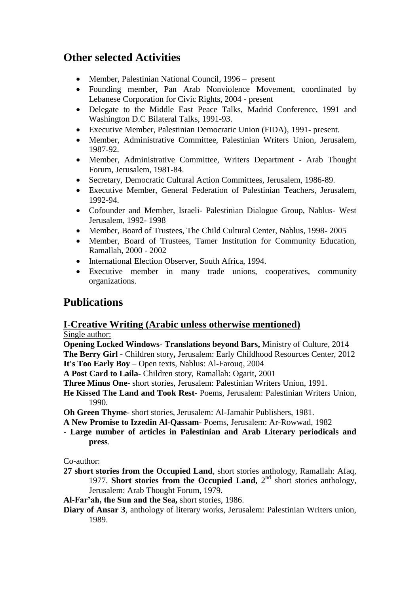## **Other selected Activities**

- Member, Palestinian National Council, 1996 present
- Founding member, Pan Arab Nonviolence Movement, coordinated by Lebanese Corporation for Civic Rights, 2004 - present
- Delegate to the Middle East Peace Talks, Madrid Conference, 1991 and Washington D.C Bilateral Talks, 1991-93.
- Executive Member, Palestinian Democratic Union (FIDA), 1991- present.
- Member, Administrative Committee, Palestinian Writers Union, Jerusalem, 1987-92.
- Member, Administrative Committee, Writers Department Arab Thought Forum, Jerusalem, 1981-84.
- Secretary, Democratic Cultural Action Committees, Jerusalem, 1986-89.
- Executive Member, General Federation of Palestinian Teachers, Jerusalem, 1992-94.
- Cofounder and Member, Israeli- Palestinian Dialogue Group, Nablus- West Jerusalem, 1992- 1998
- Member, Board of Trustees, The Child Cultural Center, Nablus, 1998-2005
- Member, Board of Trustees, Tamer Institution for Community Education, Ramallah, 2000 - 2002
- International Election Observer, South Africa, 1994.
- Executive member in many trade unions, cooperatives, community organizations.

### **Publications**

### **I-Creative Writing (Arabic unless otherwise mentioned)**

#### Single author:

**Opening Locked Windows- Translations beyond Bars,** Ministry of Culture, 2014 **The Berry Girl -** Children story**,** Jerusalem: Early Childhood Resources Center, 2012 **It's Too Early Boy** – Open texts, Nablus: Al-Farouq, 2004

**A Post Card to Laila-** Children story, Ramallah: Ogarit, 2001

**Three Minus One**- short stories, Jerusalem: Palestinian Writers Union, 1991.

**He Kissed The Land and Took Rest**- Poems, Jerusalem: Palestinian Writers Union, 1990.

**Oh Green Thyme**- short stories, Jerusalem: Al-Jamahir Publishers, 1981.

- **A New Promise to Izzedin Al-Qassam** Poems, Jerusalem: Ar-Rowwad, 1982
- **Large number of articles in Palestinian and Arab Literary periodicals and press**.

Co-author:

- **27 short stories from the Occupied Land**, short stories anthology, Ramallah: Afaq, 1977. **Short stories from the Occupied Land, 2<sup>nd</sup> short stories anthology,** Jerusalem: Arab Thought Forum, 1979.
- **Al-Far'ah, the Sun and the Sea,** short stories, 1986.
- **Diary of Ansar 3**, anthology of literary works, Jerusalem: Palestinian Writers union, 1989.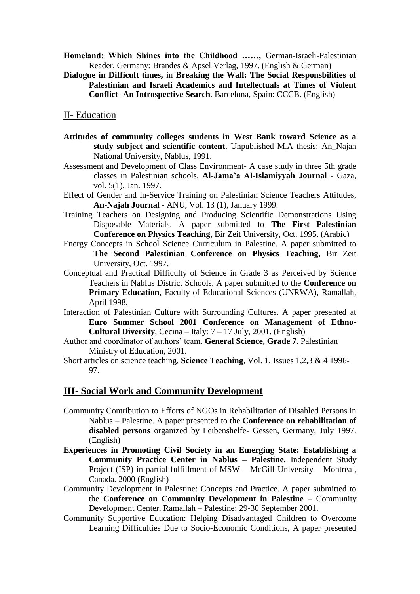**Homeland: Which Shines into the Childhood ……,** German-Israeli-Palestinian Reader, Germany: Brandes & Apsel Verlag, 1997. (English & German)

**Dialogue in Difficult times,** in **Breaking the Wall: The Social Responsbilities of Palestinian and Israeli Academics and Intellectuals at Times of Violent Conflict- An Introspective Search**. Barcelona, Spain: CCCB. (English)

#### II- Education

- **Attitudes of community colleges students in West Bank toward Science as a study subject and scientific content**. Unpublished M.A thesis: An\_Najah National University, Nablus, 1991.
- Assessment and Development of Class Environment- A case study in three 5th grade classes in Palestinian schools, **Al-Jama'a Al-Islamiyyah Journal** - Gaza, vol. 5(1), Jan. 1997.
- Effect of Gender and In-Service Training on Palestinian Science Teachers Attitudes, **An-Najah Journal** - ANU, Vol. 13 (1), January 1999.
- Training Teachers on Designing and Producing Scientific Demonstrations Using Disposable Materials. A paper submitted to **The First Palestinian Conference on Physics Teaching**, Bir Zeit University, Oct. 1995. (Arabic)
- Energy Concepts in School Science Curriculum in Palestine. A paper submitted to **The Second Palestinian Conference on Physics Teaching**, Bir Zeit University, Oct. 1997.
- Conceptual and Practical Difficulty of Science in Grade 3 as Perceived by Science Teachers in Nablus District Schools. A paper submitted to the **Conference on Primary Education**, Faculty of Educational Sciences (UNRWA), Ramallah, April 1998.
- Interaction of Palestinian Culture with Surrounding Cultures. A paper presented at **Euro Summer School 2001 Conference on Management of Ethno-Cultural Diversity**, Cecina – Italy: 7 – 17 July, 2001. (English)
- Author and coordinator of authors' team. **General Science, Grade 7**. Palestinian Ministry of Education, 2001.
- Short articles on science teaching, **Science Teaching**, Vol. 1, Issues 1,2,3 & 4 1996- 97.

#### **III- Social Work and Community Development**

- Community Contribution to Efforts of NGOs in Rehabilitation of Disabled Persons in Nablus – Palestine. A paper presented to the **Conference on rehabilitation of disabled persons** organized by Leibenshelfe- Gessen, Germany, July 1997. (English)
- **Experiences in Promoting Civil Society in an Emerging State: Establishing a Community Practice Center in Nablus – Palestine.** Independent Study Project (ISP) in partial fulfillment of MSW – McGill University – Montreal, Canada. 2000 (English)
- Community Development in Palestine: Concepts and Practice. A paper submitted to the **Conference on Community Development in Palestine** – Community Development Center, Ramallah – Palestine: 29-30 September 2001.
- Community Supportive Education: Helping Disadvantaged Children to Overcome Learning Difficulties Due to Socio-Economic Conditions, A paper presented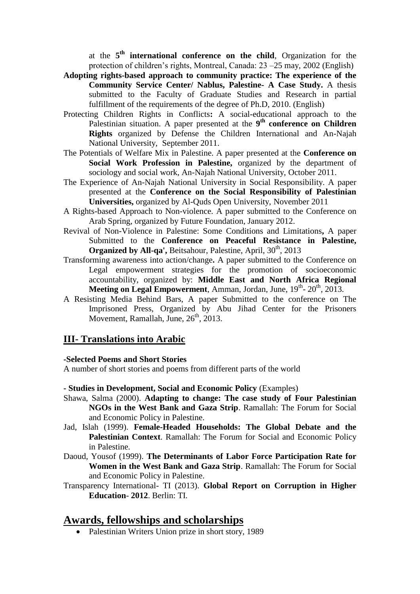at the **5 th international conference on the child**, Organization for the protection of children's rights, Montreal, Canada: 23 –25 may, 2002 (English)

- **Adopting rights-based approach to community practice: The experience of the Community Service Center/ Nablus, Palestine- A Case Study.** A thesis submitted to the Faculty of Graduate Studies and Research in partial fulfillment of the requirements of the degree of Ph.D, 2010. (English)
- Protecting Children Rights in Conflicts**:** A social-educational approach to the Palestinian situation. A paper presented at the 9<sup>th</sup> conference on Children **Rights** organized by Defense the Children International and An-Najah National University, September 2011.
- The Potentials of Welfare Mix in Palestine. A paper presented at the **Conference on Social Work Profession in Palestine,** organized by the department of sociology and social work, An-Najah National University, October 2011.
- The Experience of An-Najah National University in Social Responsibility. A paper presented at the **Conference on the Social Responsibility of Palestinian Universities,** organized by Al-Quds Open University, November 2011
- A Rights-based Approach to Non-violence. A paper submitted to the Conference on Arab Spring, organized by Future Foundation, January 2012.
- Revival of Non-Violence in Palestine: Some Conditions and Limitations**,** A paper Submitted to the **Conference on Peaceful Resistance in Palestine, Organized by All-qa', Beitsahour, Palestine, April, 30<sup>th</sup>, 2013**
- Transforming awareness into action/change**.** A paper submitted to the Conference on Legal empowerment strategies for the promotion of socioeconomic accountability, organized by: **Middle East and North Africa Regional**  Meeting on Legal Empowerment, Amman, Jordan, June, 19<sup>th</sup>- 20<sup>th</sup>, 2013.
- A Resisting Media Behind Bars, A paper Submitted to the conference on The Imprisoned Press, Organized by Abu Jihad Center for the Prisoners Movement, Ramallah, June,  $26<sup>th</sup>$ ,  $2013$ .

#### **III- Translations into Arabic**

#### **-Selected Poems and Short Stories**

A number of short stories and poems from different parts of the world

#### **- Studies in Development, Social and Economic Policy** (Examples)

- Shawa, Salma (2000). **Adapting to change: The case study of Four Palestinian NGOs in the West Bank and Gaza Strip**. Ramallah: The Forum for Social and Economic Policy in Palestine.
- Jad, Islah (1999). **Female-Headed Households: The Global Debate and the Palestinian Context**. Ramallah: The Forum for Social and Economic Policy in Palestine.
- Daoud, Yousof (1999). **The Determinants of Labor Force Participation Rate for Women in the West Bank and Gaza Strip**. Ramallah: The Forum for Social and Economic Policy in Palestine.
- Transparency International- TI (2013). **Global Report on Corruption in Higher Education**- **2012**. Berlin: TI.

### **Awards, fellowships and scholarships**

• Palestinian Writers Union prize in short story, 1989